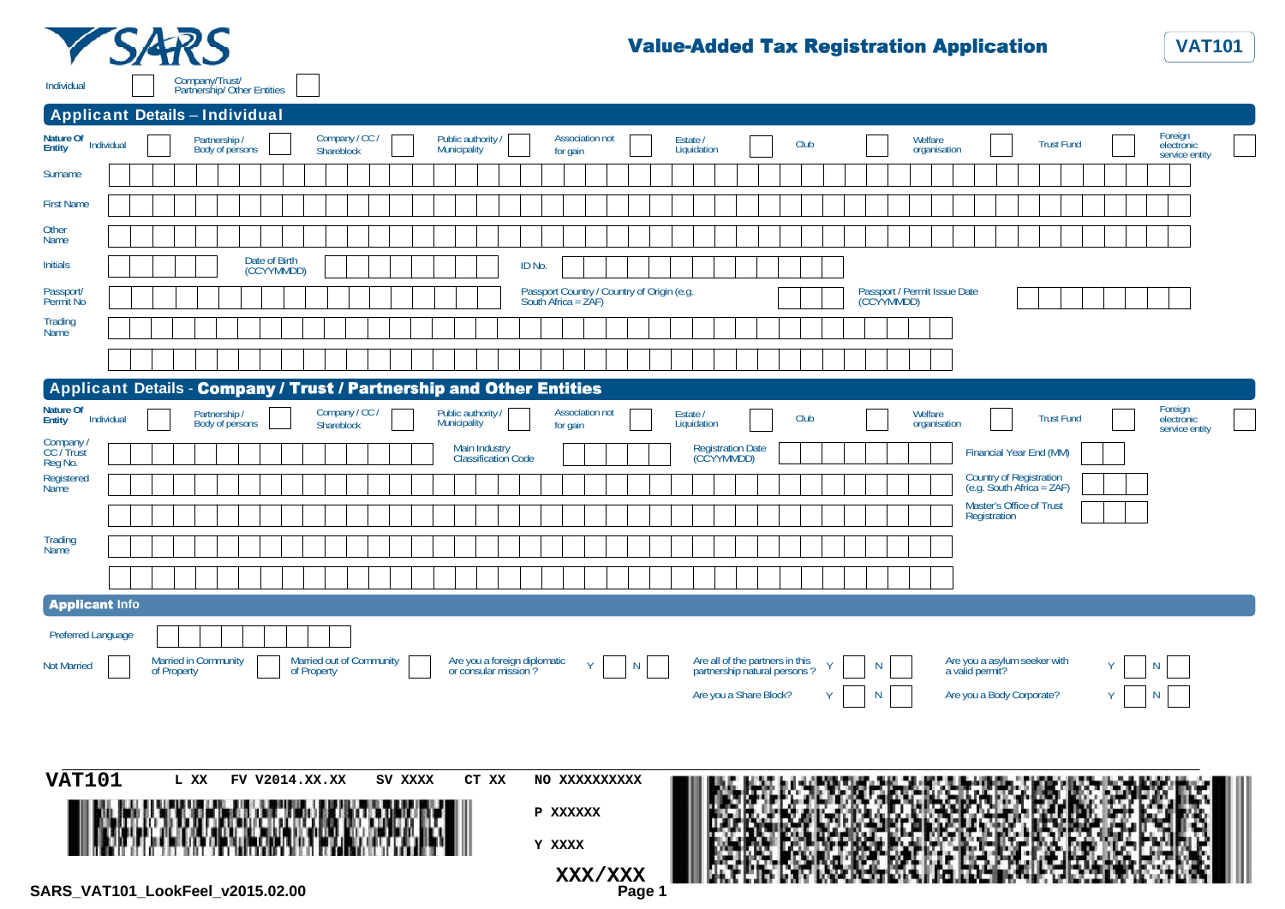



| <b>Applicant Details - Individual</b>                                |                             |                                  |                                       |                          |                |         |                                           |                                                      |                                                                   |                        |        |                         |                                                                 |      |                                            |                         |                           |                                                      |                                         |  |
|----------------------------------------------------------------------|-----------------------------|----------------------------------|---------------------------------------|--------------------------|----------------|---------|-------------------------------------------|------------------------------------------------------|-------------------------------------------------------------------|------------------------|--------|-------------------------|-----------------------------------------------------------------|------|--------------------------------------------|-------------------------|---------------------------|------------------------------------------------------|-----------------------------------------|--|
| Nature Of Individual                                                 |                             | Partnership /<br>Body of persons |                                       | Shareblock               | Company / CC / |         | Public authority /<br><b>Municipality</b> |                                                      | for gain                                                          | <b>Association not</b> |        | Estate /<br>Liquidation |                                                                 | Club |                                            | Welfare<br>organisation |                           | <b>Trust Fund</b>                                    | Foreign<br>electronic<br>service entity |  |
| Surname                                                              |                             |                                  |                                       |                          |                |         |                                           |                                                      |                                                                   |                        |        |                         |                                                                 |      |                                            |                         |                           |                                                      |                                         |  |
| <b>First Name</b>                                                    |                             |                                  |                                       |                          |                |         |                                           |                                                      |                                                                   |                        |        |                         |                                                                 |      |                                            |                         |                           |                                                      |                                         |  |
| Other<br>Name                                                        |                             |                                  |                                       |                          |                |         |                                           |                                                      |                                                                   |                        |        |                         |                                                                 |      |                                            |                         |                           |                                                      |                                         |  |
| <b>Initials</b>                                                      |                             |                                  | Date of Birth<br>(CCYYMMDD)           |                          |                |         |                                           |                                                      | ID No.                                                            |                        |        |                         |                                                                 |      |                                            |                         |                           |                                                      |                                         |  |
| Passport/<br>Permit No                                               |                             |                                  |                                       |                          |                |         |                                           |                                                      | Passport Country / Country of Origin (e.g.<br>South Africa = ZAF) |                        |        |                         |                                                                 |      | Passport / Permit Issue Date<br>(CCYYMMDD) |                         |                           |                                                      |                                         |  |
| Trading<br>Name                                                      |                             |                                  |                                       |                          |                |         |                                           |                                                      |                                                                   |                        |        |                         |                                                                 |      |                                            |                         |                           |                                                      |                                         |  |
|                                                                      |                             |                                  |                                       |                          |                |         |                                           |                                                      |                                                                   |                        |        |                         |                                                                 |      |                                            |                         |                           |                                                      |                                         |  |
| Applicant Details - Company / Trust / Partnership and Other Entities |                             |                                  |                                       |                          |                |         |                                           |                                                      |                                                                   |                        |        |                         |                                                                 |      |                                            |                         |                           |                                                      |                                         |  |
| Nature Of<br>Entity<br>Individual                                    |                             | Partnership<br>Body of persons   |                                       | Shareblock               | Company / CC / |         | Public authority /<br>Municipality        |                                                      | for gain                                                          | <b>Association not</b> |        | Estate /<br>Liquidation |                                                                 | Club |                                            | Welfare<br>organisation |                           | <b>Trust Fund</b>                                    | Foreign<br>electronic<br>service entity |  |
| Company /<br>CC / Trust<br>Reg No.                                   |                             |                                  |                                       |                          |                |         |                                           | Main Industry<br>Classification Code                 |                                                                   |                        |        |                         | Registration Date<br>(CCYYMMDD)                                 |      |                                            |                         |                           | Financial Year End (MM)                              |                                         |  |
| Registered<br>Name                                                   |                             |                                  |                                       |                          |                |         |                                           |                                                      |                                                                   |                        |        |                         |                                                                 |      |                                            |                         |                           | Country of Registration<br>(e.g. South Africa = ZAF) |                                         |  |
|                                                                      |                             |                                  |                                       |                          |                |         |                                           |                                                      |                                                                   |                        |        |                         |                                                                 |      |                                            |                         | Registration              | Master's Office of Trust                             |                                         |  |
| Trading<br>Name                                                      |                             |                                  |                                       |                          |                |         |                                           |                                                      |                                                                   |                        |        |                         |                                                                 |      |                                            |                         |                           |                                                      |                                         |  |
|                                                                      |                             |                                  |                                       |                          |                |         |                                           |                                                      |                                                                   |                        |        |                         |                                                                 |      |                                            |                         |                           |                                                      |                                         |  |
| <b>Applicant Info</b>                                                |                             |                                  |                                       |                          |                |         |                                           |                                                      |                                                                   |                        |        |                         |                                                                 |      |                                            |                         |                           |                                                      |                                         |  |
| <b>Preferred Language</b>                                            |                             |                                  |                                       |                          |                |         |                                           |                                                      |                                                                   |                        |        |                         |                                                                 |      |                                            |                         |                           |                                                      |                                         |  |
| <b>Not Married</b>                                                   | <b>Married in Community</b> |                                  |                                       | Married out of Community |                |         |                                           | Are you a foreign diplomatic<br>or consular mission? |                                                                   | Y                      | N      |                         | Are all of the partners in this<br>partnership natural persons? |      | N                                          |                         |                           | Are you a asylum seeker with<br>a valid permit?      | N                                       |  |
|                                                                      | of Property                 |                                  |                                       | of Property              |                |         |                                           |                                                      |                                                                   |                        |        |                         | Are you a Share Block?                                          |      | N                                          |                         | Are you a Body Corporate? |                                                      | N                                       |  |
|                                                                      |                             |                                  |                                       |                          |                |         |                                           |                                                      |                                                                   |                        |        |                         |                                                                 |      |                                            |                         |                           |                                                      |                                         |  |
|                                                                      |                             |                                  |                                       |                          |                |         |                                           |                                                      |                                                                   |                        |        |                         |                                                                 |      |                                            |                         |                           |                                                      |                                         |  |
| <b>VAT101</b>                                                        | L XX                        |                                  | FV V2014.XX.XX                        |                          |                | SV XXXX | CT XX                                     |                                                      | NO XXXXXXXXXX                                                     |                        |        |                         |                                                                 |      |                                            |                         |                           |                                                      |                                         |  |
|                                                                      |                             |                                  |                                       |                          |                |         |                                           |                                                      | P XXXXXX                                                          |                        |        |                         |                                                                 |      |                                            |                         |                           |                                                      |                                         |  |
|                                                                      |                             |                                  | <b><i><i><u>AKKANOMUT</u></i></i></b> |                          |                |         |                                           |                                                      |                                                                   |                        |        |                         |                                                                 |      |                                            |                         |                           |                                                      |                                         |  |
|                                                                      |                             |                                  |                                       |                          |                |         |                                           |                                                      | Y XXXX                                                            |                        |        |                         |                                                                 |      |                                            |                         |                           |                                                      |                                         |  |
| SARS VAT101 LookFeel v2015.02.00                                     |                             |                                  |                                       |                          |                |         |                                           |                                                      |                                                                   | XXX/XXX                | Page 1 |                         |                                                                 |      |                                            |                         |                           |                                                      |                                         |  |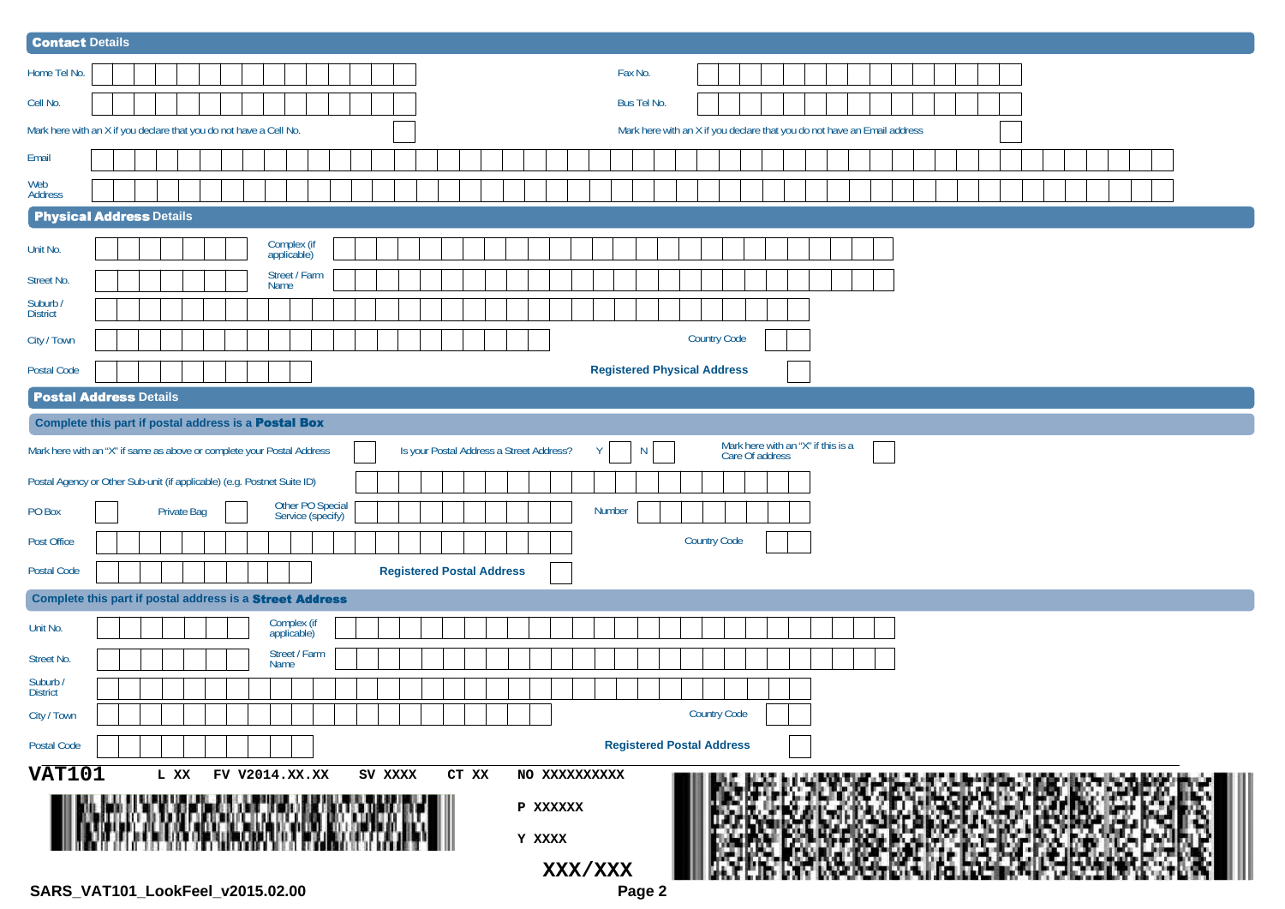| <b>Contact Details</b>                                                  |  |                    |  |                |                            |                                       |         |                                          |       |               |         |               |             |   |  |                                    |                 |                                                                          |  |  |  |  |  |  |  |  |
|-------------------------------------------------------------------------|--|--------------------|--|----------------|----------------------------|---------------------------------------|---------|------------------------------------------|-------|---------------|---------|---------------|-------------|---|--|------------------------------------|-----------------|--------------------------------------------------------------------------|--|--|--|--|--|--|--|--|
| Home Tel No.                                                            |  |                    |  |                |                            |                                       |         |                                          |       |               |         |               | Fax No.     |   |  |                                    |                 |                                                                          |  |  |  |  |  |  |  |  |
| Cell No.                                                                |  |                    |  |                |                            |                                       |         |                                          |       |               |         |               | Bus Tel No. |   |  |                                    |                 |                                                                          |  |  |  |  |  |  |  |  |
| Mark here with an X if you declare that you do not have a Cell No.      |  |                    |  |                |                            |                                       |         |                                          |       |               |         |               |             |   |  |                                    |                 | Mark here with an X if you declare that you do not have an Email address |  |  |  |  |  |  |  |  |
| Email                                                                   |  |                    |  |                |                            |                                       |         |                                          |       |               |         |               |             |   |  |                                    |                 |                                                                          |  |  |  |  |  |  |  |  |
| Web<br>Address                                                          |  |                    |  |                |                            |                                       |         |                                          |       |               |         |               |             |   |  |                                    |                 |                                                                          |  |  |  |  |  |  |  |  |
| <b>Physical Address Details</b>                                         |  |                    |  |                |                            |                                       |         |                                          |       |               |         |               |             |   |  |                                    |                 |                                                                          |  |  |  |  |  |  |  |  |
| Unit No.                                                                |  |                    |  |                | Complex (if<br>applicable) |                                       |         |                                          |       |               |         |               |             |   |  |                                    |                 |                                                                          |  |  |  |  |  |  |  |  |
| Street No.                                                              |  |                    |  |                | Street / Farm<br>Name      |                                       |         |                                          |       |               |         |               |             |   |  |                                    |                 |                                                                          |  |  |  |  |  |  |  |  |
| Suburb /<br>District                                                    |  |                    |  |                |                            |                                       |         |                                          |       |               |         |               |             |   |  |                                    |                 |                                                                          |  |  |  |  |  |  |  |  |
| City / Town                                                             |  |                    |  |                |                            |                                       |         |                                          |       |               |         |               |             |   |  | <b>Country Code</b>                |                 |                                                                          |  |  |  |  |  |  |  |  |
| Postal Code                                                             |  |                    |  |                |                            |                                       |         |                                          |       |               |         |               |             |   |  | <b>Registered Physical Address</b> |                 |                                                                          |  |  |  |  |  |  |  |  |
| <b>Postal Address Details</b>                                           |  |                    |  |                |                            |                                       |         |                                          |       |               |         |               |             |   |  |                                    |                 |                                                                          |  |  |  |  |  |  |  |  |
| Complete this part if postal address is a Postal Box                    |  |                    |  |                |                            |                                       |         |                                          |       |               |         |               |             |   |  |                                    |                 |                                                                          |  |  |  |  |  |  |  |  |
| Mark here with an "X" if same as above or complete your Postal Address  |  |                    |  |                |                            |                                       |         | Is your Postal Address a Street Address? |       |               |         | Y             |             | N |  |                                    | Care Of address | Mark here with an "X" if this is a                                       |  |  |  |  |  |  |  |  |
| Postal Agency or Other Sub-unit (if applicable) (e.g. Postnet Suite ID) |  |                    |  |                |                            |                                       |         |                                          |       |               |         |               |             |   |  |                                    |                 |                                                                          |  |  |  |  |  |  |  |  |
| PO Box                                                                  |  | <b>Private Bag</b> |  |                |                            | Other PO Special<br>Service (specify) |         |                                          |       |               |         | <b>Number</b> |             |   |  |                                    |                 |                                                                          |  |  |  |  |  |  |  |  |
| Post Office                                                             |  |                    |  |                |                            |                                       |         |                                          |       |               |         |               |             |   |  | <b>Country Code</b>                |                 |                                                                          |  |  |  |  |  |  |  |  |
| Postal Code                                                             |  |                    |  |                |                            |                                       |         | <b>Registered Postal Address</b>         |       |               |         |               |             |   |  |                                    |                 |                                                                          |  |  |  |  |  |  |  |  |
| Complete this part if postal address is a Street Address                |  |                    |  |                |                            |                                       |         |                                          |       |               |         |               |             |   |  |                                    |                 |                                                                          |  |  |  |  |  |  |  |  |
| Unit No.                                                                |  |                    |  |                | Complex (if<br>applicable) |                                       |         |                                          |       |               |         |               |             |   |  |                                    |                 |                                                                          |  |  |  |  |  |  |  |  |
| Street No.                                                              |  |                    |  |                | Street / Farm<br>Name      |                                       |         |                                          |       |               |         |               |             |   |  |                                    |                 |                                                                          |  |  |  |  |  |  |  |  |
| Suburb /<br>District                                                    |  |                    |  |                |                            |                                       |         |                                          |       |               |         |               |             |   |  |                                    |                 |                                                                          |  |  |  |  |  |  |  |  |
| City / Town                                                             |  |                    |  |                |                            |                                       |         |                                          |       |               |         |               |             |   |  | <b>Country Code</b>                |                 |                                                                          |  |  |  |  |  |  |  |  |
| Postal Code                                                             |  |                    |  |                |                            |                                       |         |                                          |       |               |         |               |             |   |  | <b>Registered Postal Address</b>   |                 |                                                                          |  |  |  |  |  |  |  |  |
| <b>VAT101</b>                                                           |  | L XX               |  | FV V2014.XX.XX |                            |                                       | SV XXXX |                                          | CT XX | NO XXXXXXXXXX |         |               |             |   |  |                                    |                 |                                                                          |  |  |  |  |  |  |  |  |
|                                                                         |  |                    |  |                |                            |                                       |         |                                          |       | P XXXXXX      |         |               |             |   |  |                                    |                 |                                                                          |  |  |  |  |  |  |  |  |
|                                                                         |  |                    |  |                |                            |                                       |         |                                          |       | Y XXXX        |         |               |             |   |  |                                    |                 |                                                                          |  |  |  |  |  |  |  |  |
|                                                                         |  |                    |  |                |                            |                                       |         |                                          |       |               | XXX/XXX |               |             |   |  |                                    |                 |                                                                          |  |  |  |  |  |  |  |  |
|                                                                         |  |                    |  |                |                            |                                       |         |                                          |       |               |         |               |             |   |  |                                    |                 |                                                                          |  |  |  |  |  |  |  |  |

**SARS\_VAT101\_LookFeel\_v2015.02.00 Page 2**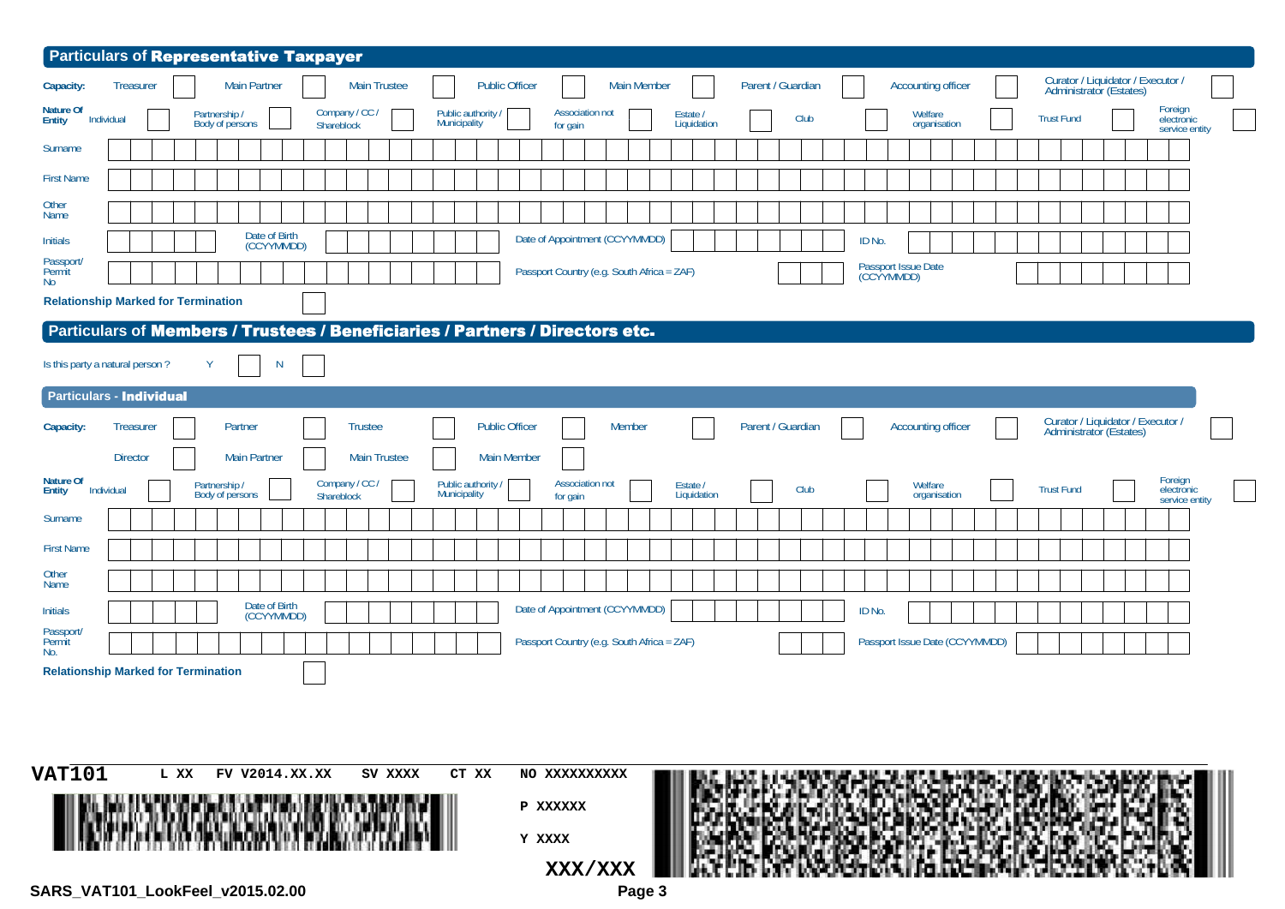| Particulars of Representative Taxpayer<br>Curator / Liquidator / Executor /<br><b>Main Partner</b><br><b>Public Officer</b><br>Parent / Guardian<br><b>Main Trustee</b><br><b>Main Member</b><br><b>Accounting officer</b><br><b>Treasurer</b><br>Administrator (Estates)<br>Foreign<br>electronic<br>Company / CC /<br><b>Association not</b><br>Public authority<br>Welfare<br>Partnership /<br>Estate /<br>Club<br><b>Trust Fund</b><br>Individual<br>Body of persons<br>Municipality<br>Liquidation<br>organisation<br>Shareblock<br>for gain<br>service entity<br>Date of Birth<br>Date of Appointment (CCYYMMDD)<br>ID No.<br>(CCYYMMDD)<br>Passport Issue Date<br>(CCYYMMDD)<br>Passport Country (e.g. South Africa = ZAF)<br>Particulars of Members / Trustees / Beneficiaries / Partners / Directors etc.<br>Y<br>N<br><b>Particulars - Individual</b><br>Curator / Liquidator / Executor /<br>Partner<br><b>Trustee</b><br><b>Public Officer</b><br>Member<br>Parent / Guardian<br><b>Treasurer</b><br><b>Accounting officer</b><br>Administrator (Estates)<br><b>Main Partner</b><br><b>Director</b><br><b>Main Trustee</b><br><b>Main Member</b><br>Foreign<br>electronic<br>Company / CC /<br><b>Association not</b><br>Public authority<br>Estate /<br>Welfare<br>Partnership /<br>Club<br><b>Trust Fund</b><br>Individual<br>Body of persons<br><b>Municipality</b><br>Liquidation<br>organisation<br>Shareblock<br>for gain<br>service entity<br>Date of Birth<br>Date of Appointment (CCYYMMDD)<br>ID No.<br>(CCYYMMDD)<br>Passport Country (e.g. South Africa = ZAF)<br>Passport Issue Date (CCYYMMDD) | L XX<br>SV XXXX<br>CT XX<br>FV V2014.XX.XX<br>NO XXXXXXXXXX | Capacity:<br>Nature Of<br>Entity<br>Surname<br><b>First Name</b><br>Other<br>Name<br><b>Initials</b><br>Passport/<br>Permit<br>No<br><b>Relationship Marked for Termination</b><br>Is this party a natural person?<br>Capacity:<br><b>Nature Of</b><br><b>Entity</b><br>Surname<br><b>First Name</b><br>Other<br>Name<br><b>Initials</b><br>Passport/<br>Permit<br>No.<br><b>Relationship Marked for Termination</b><br><b>VAT101</b> |  |
|--------------------------------------------------------------------------------------------------------------------------------------------------------------------------------------------------------------------------------------------------------------------------------------------------------------------------------------------------------------------------------------------------------------------------------------------------------------------------------------------------------------------------------------------------------------------------------------------------------------------------------------------------------------------------------------------------------------------------------------------------------------------------------------------------------------------------------------------------------------------------------------------------------------------------------------------------------------------------------------------------------------------------------------------------------------------------------------------------------------------------------------------------------------------------------------------------------------------------------------------------------------------------------------------------------------------------------------------------------------------------------------------------------------------------------------------------------------------------------------------------------------------------------------------------------------------------------------------------------------------------|-------------------------------------------------------------|---------------------------------------------------------------------------------------------------------------------------------------------------------------------------------------------------------------------------------------------------------------------------------------------------------------------------------------------------------------------------------------------------------------------------------------|--|
|                                                                                                                                                                                                                                                                                                                                                                                                                                                                                                                                                                                                                                                                                                                                                                                                                                                                                                                                                                                                                                                                                                                                                                                                                                                                                                                                                                                                                                                                                                                                                                                                                          |                                                             |                                                                                                                                                                                                                                                                                                                                                                                                                                       |  |
|                                                                                                                                                                                                                                                                                                                                                                                                                                                                                                                                                                                                                                                                                                                                                                                                                                                                                                                                                                                                                                                                                                                                                                                                                                                                                                                                                                                                                                                                                                                                                                                                                          |                                                             |                                                                                                                                                                                                                                                                                                                                                                                                                                       |  |
|                                                                                                                                                                                                                                                                                                                                                                                                                                                                                                                                                                                                                                                                                                                                                                                                                                                                                                                                                                                                                                                                                                                                                                                                                                                                                                                                                                                                                                                                                                                                                                                                                          |                                                             |                                                                                                                                                                                                                                                                                                                                                                                                                                       |  |
|                                                                                                                                                                                                                                                                                                                                                                                                                                                                                                                                                                                                                                                                                                                                                                                                                                                                                                                                                                                                                                                                                                                                                                                                                                                                                                                                                                                                                                                                                                                                                                                                                          |                                                             |                                                                                                                                                                                                                                                                                                                                                                                                                                       |  |
|                                                                                                                                                                                                                                                                                                                                                                                                                                                                                                                                                                                                                                                                                                                                                                                                                                                                                                                                                                                                                                                                                                                                                                                                                                                                                                                                                                                                                                                                                                                                                                                                                          |                                                             |                                                                                                                                                                                                                                                                                                                                                                                                                                       |  |
|                                                                                                                                                                                                                                                                                                                                                                                                                                                                                                                                                                                                                                                                                                                                                                                                                                                                                                                                                                                                                                                                                                                                                                                                                                                                                                                                                                                                                                                                                                                                                                                                                          |                                                             |                                                                                                                                                                                                                                                                                                                                                                                                                                       |  |
|                                                                                                                                                                                                                                                                                                                                                                                                                                                                                                                                                                                                                                                                                                                                                                                                                                                                                                                                                                                                                                                                                                                                                                                                                                                                                                                                                                                                                                                                                                                                                                                                                          |                                                             |                                                                                                                                                                                                                                                                                                                                                                                                                                       |  |
|                                                                                                                                                                                                                                                                                                                                                                                                                                                                                                                                                                                                                                                                                                                                                                                                                                                                                                                                                                                                                                                                                                                                                                                                                                                                                                                                                                                                                                                                                                                                                                                                                          |                                                             |                                                                                                                                                                                                                                                                                                                                                                                                                                       |  |
|                                                                                                                                                                                                                                                                                                                                                                                                                                                                                                                                                                                                                                                                                                                                                                                                                                                                                                                                                                                                                                                                                                                                                                                                                                                                                                                                                                                                                                                                                                                                                                                                                          |                                                             |                                                                                                                                                                                                                                                                                                                                                                                                                                       |  |
|                                                                                                                                                                                                                                                                                                                                                                                                                                                                                                                                                                                                                                                                                                                                                                                                                                                                                                                                                                                                                                                                                                                                                                                                                                                                                                                                                                                                                                                                                                                                                                                                                          |                                                             |                                                                                                                                                                                                                                                                                                                                                                                                                                       |  |
|                                                                                                                                                                                                                                                                                                                                                                                                                                                                                                                                                                                                                                                                                                                                                                                                                                                                                                                                                                                                                                                                                                                                                                                                                                                                                                                                                                                                                                                                                                                                                                                                                          |                                                             |                                                                                                                                                                                                                                                                                                                                                                                                                                       |  |
|                                                                                                                                                                                                                                                                                                                                                                                                                                                                                                                                                                                                                                                                                                                                                                                                                                                                                                                                                                                                                                                                                                                                                                                                                                                                                                                                                                                                                                                                                                                                                                                                                          |                                                             |                                                                                                                                                                                                                                                                                                                                                                                                                                       |  |
|                                                                                                                                                                                                                                                                                                                                                                                                                                                                                                                                                                                                                                                                                                                                                                                                                                                                                                                                                                                                                                                                                                                                                                                                                                                                                                                                                                                                                                                                                                                                                                                                                          |                                                             |                                                                                                                                                                                                                                                                                                                                                                                                                                       |  |
|                                                                                                                                                                                                                                                                                                                                                                                                                                                                                                                                                                                                                                                                                                                                                                                                                                                                                                                                                                                                                                                                                                                                                                                                                                                                                                                                                                                                                                                                                                                                                                                                                          |                                                             |                                                                                                                                                                                                                                                                                                                                                                                                                                       |  |
|                                                                                                                                                                                                                                                                                                                                                                                                                                                                                                                                                                                                                                                                                                                                                                                                                                                                                                                                                                                                                                                                                                                                                                                                                                                                                                                                                                                                                                                                                                                                                                                                                          |                                                             |                                                                                                                                                                                                                                                                                                                                                                                                                                       |  |
|                                                                                                                                                                                                                                                                                                                                                                                                                                                                                                                                                                                                                                                                                                                                                                                                                                                                                                                                                                                                                                                                                                                                                                                                                                                                                                                                                                                                                                                                                                                                                                                                                          |                                                             |                                                                                                                                                                                                                                                                                                                                                                                                                                       |  |
|                                                                                                                                                                                                                                                                                                                                                                                                                                                                                                                                                                                                                                                                                                                                                                                                                                                                                                                                                                                                                                                                                                                                                                                                                                                                                                                                                                                                                                                                                                                                                                                                                          |                                                             |                                                                                                                                                                                                                                                                                                                                                                                                                                       |  |
|                                                                                                                                                                                                                                                                                                                                                                                                                                                                                                                                                                                                                                                                                                                                                                                                                                                                                                                                                                                                                                                                                                                                                                                                                                                                                                                                                                                                                                                                                                                                                                                                                          |                                                             |                                                                                                                                                                                                                                                                                                                                                                                                                                       |  |
|                                                                                                                                                                                                                                                                                                                                                                                                                                                                                                                                                                                                                                                                                                                                                                                                                                                                                                                                                                                                                                                                                                                                                                                                                                                                                                                                                                                                                                                                                                                                                                                                                          |                                                             |                                                                                                                                                                                                                                                                                                                                                                                                                                       |  |
|                                                                                                                                                                                                                                                                                                                                                                                                                                                                                                                                                                                                                                                                                                                                                                                                                                                                                                                                                                                                                                                                                                                                                                                                                                                                                                                                                                                                                                                                                                                                                                                                                          |                                                             |                                                                                                                                                                                                                                                                                                                                                                                                                                       |  |
|                                                                                                                                                                                                                                                                                                                                                                                                                                                                                                                                                                                                                                                                                                                                                                                                                                                                                                                                                                                                                                                                                                                                                                                                                                                                                                                                                                                                                                                                                                                                                                                                                          |                                                             |                                                                                                                                                                                                                                                                                                                                                                                                                                       |  |
|                                                                                                                                                                                                                                                                                                                                                                                                                                                                                                                                                                                                                                                                                                                                                                                                                                                                                                                                                                                                                                                                                                                                                                                                                                                                                                                                                                                                                                                                                                                                                                                                                          |                                                             |                                                                                                                                                                                                                                                                                                                                                                                                                                       |  |
|                                                                                                                                                                                                                                                                                                                                                                                                                                                                                                                                                                                                                                                                                                                                                                                                                                                                                                                                                                                                                                                                                                                                                                                                                                                                                                                                                                                                                                                                                                                                                                                                                          |                                                             |                                                                                                                                                                                                                                                                                                                                                                                                                                       |  |
|                                                                                                                                                                                                                                                                                                                                                                                                                                                                                                                                                                                                                                                                                                                                                                                                                                                                                                                                                                                                                                                                                                                                                                                                                                                                                                                                                                                                                                                                                                                                                                                                                          |                                                             |                                                                                                                                                                                                                                                                                                                                                                                                                                       |  |
|                                                                                                                                                                                                                                                                                                                                                                                                                                                                                                                                                                                                                                                                                                                                                                                                                                                                                                                                                                                                                                                                                                                                                                                                                                                                                                                                                                                                                                                                                                                                                                                                                          |                                                             |                                                                                                                                                                                                                                                                                                                                                                                                                                       |  |
|                                                                                                                                                                                                                                                                                                                                                                                                                                                                                                                                                                                                                                                                                                                                                                                                                                                                                                                                                                                                                                                                                                                                                                                                                                                                                                                                                                                                                                                                                                                                                                                                                          |                                                             |                                                                                                                                                                                                                                                                                                                                                                                                                                       |  |
|                                                                                                                                                                                                                                                                                                                                                                                                                                                                                                                                                                                                                                                                                                                                                                                                                                                                                                                                                                                                                                                                                                                                                                                                                                                                                                                                                                                                                                                                                                                                                                                                                          |                                                             |                                                                                                                                                                                                                                                                                                                                                                                                                                       |  |
|                                                                                                                                                                                                                                                                                                                                                                                                                                                                                                                                                                                                                                                                                                                                                                                                                                                                                                                                                                                                                                                                                                                                                                                                                                                                                                                                                                                                                                                                                                                                                                                                                          | P XXXXXX                                                    |                                                                                                                                                                                                                                                                                                                                                                                                                                       |  |
|                                                                                                                                                                                                                                                                                                                                                                                                                                                                                                                                                                                                                                                                                                                                                                                                                                                                                                                                                                                                                                                                                                                                                                                                                                                                                                                                                                                                                                                                                                                                                                                                                          |                                                             | Y XXXX                                                                                                                                                                                                                                                                                                                                                                                                                                |  |



**XXX/XXX**

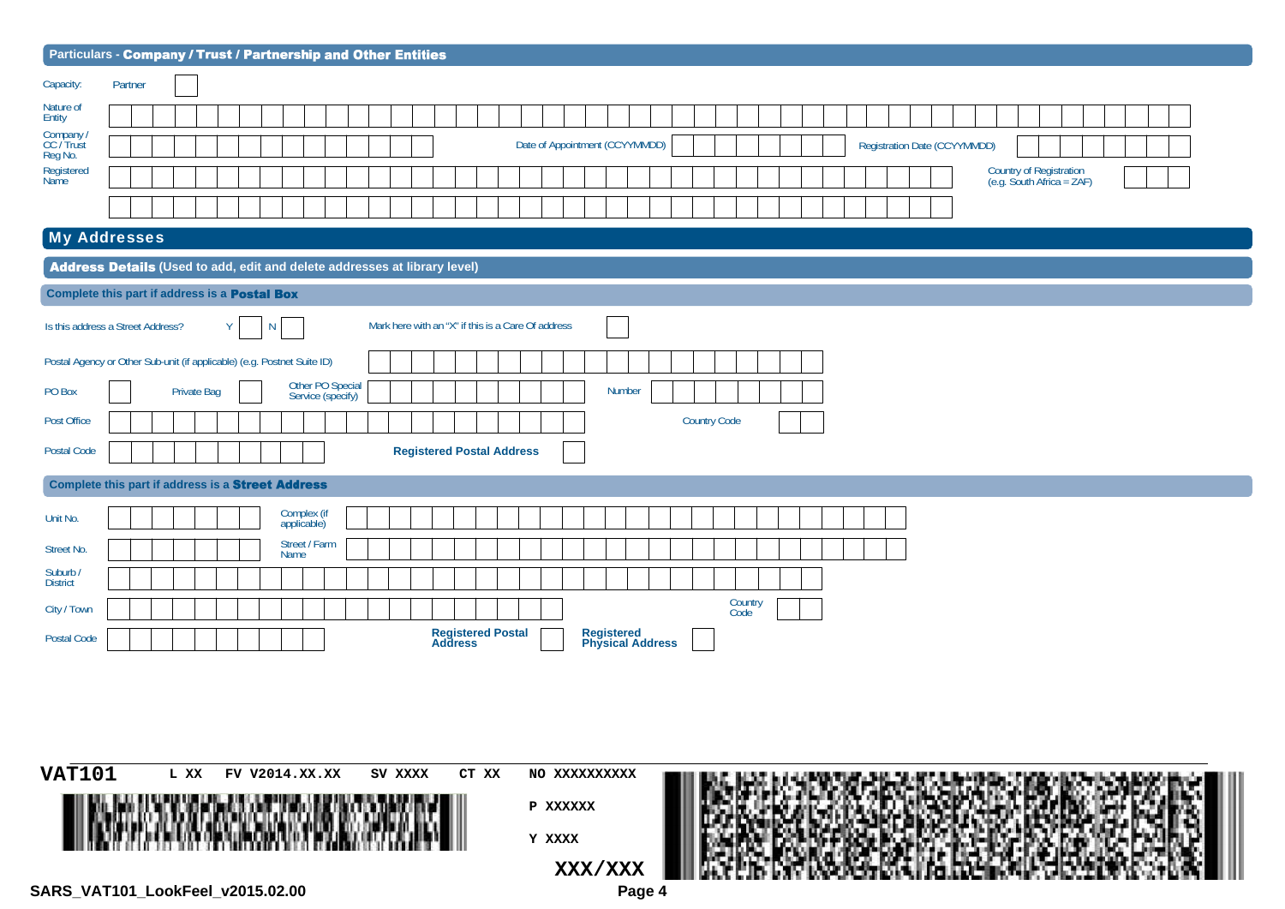| Particulars - Company / Trust / Partnership and Other Entities                                       |  |  |  |  |  |  |  |
|------------------------------------------------------------------------------------------------------|--|--|--|--|--|--|--|
| Partner<br>Capacity:                                                                                 |  |  |  |  |  |  |  |
| Nature of<br>Entity                                                                                  |  |  |  |  |  |  |  |
| Company<br>CC / Trust<br>Reg No.<br>Date of Appointment (CCYYMMDD)<br>Registration Date (CCYYMMDD)   |  |  |  |  |  |  |  |
| Country of Registration<br>(e.g. South Africa = ZAF)<br>Registered<br>Name                           |  |  |  |  |  |  |  |
|                                                                                                      |  |  |  |  |  |  |  |
| <b>My Addresses</b>                                                                                  |  |  |  |  |  |  |  |
| Address Details (Used to add, edit and delete addresses at library level)                            |  |  |  |  |  |  |  |
| Complete this part if address is a <b>Postal Box</b>                                                 |  |  |  |  |  |  |  |
| Mark here with an "X" if this is a Care Of address<br>Is this address a Street Address?<br>Y<br>N    |  |  |  |  |  |  |  |
| Postal Agency or Other Sub-unit (if applicable) (e.g. Postnet Suite ID)                              |  |  |  |  |  |  |  |
| Other PO Special<br>Service (specify)<br>Number<br><b>Private Bag</b><br>PO Box                      |  |  |  |  |  |  |  |
| <b>Country Code</b><br>Post Office                                                                   |  |  |  |  |  |  |  |
| <b>Postal Code</b><br><b>Registered Postal Address</b>                                               |  |  |  |  |  |  |  |
| Complete this part if address is a Street Address                                                    |  |  |  |  |  |  |  |
| Complex (if<br>applicable)<br>Unit No.                                                               |  |  |  |  |  |  |  |
| Street / Farm<br>Name<br>Street No.                                                                  |  |  |  |  |  |  |  |
| Suburb /<br>District                                                                                 |  |  |  |  |  |  |  |
| Country<br>Code<br>City / Town                                                                       |  |  |  |  |  |  |  |
| <b>Registered Postal<br/>Address</b><br><b>Registered<br/>Physical Address</b><br><b>Postal Code</b> |  |  |  |  |  |  |  |
|                                                                                                      |  |  |  |  |  |  |  |

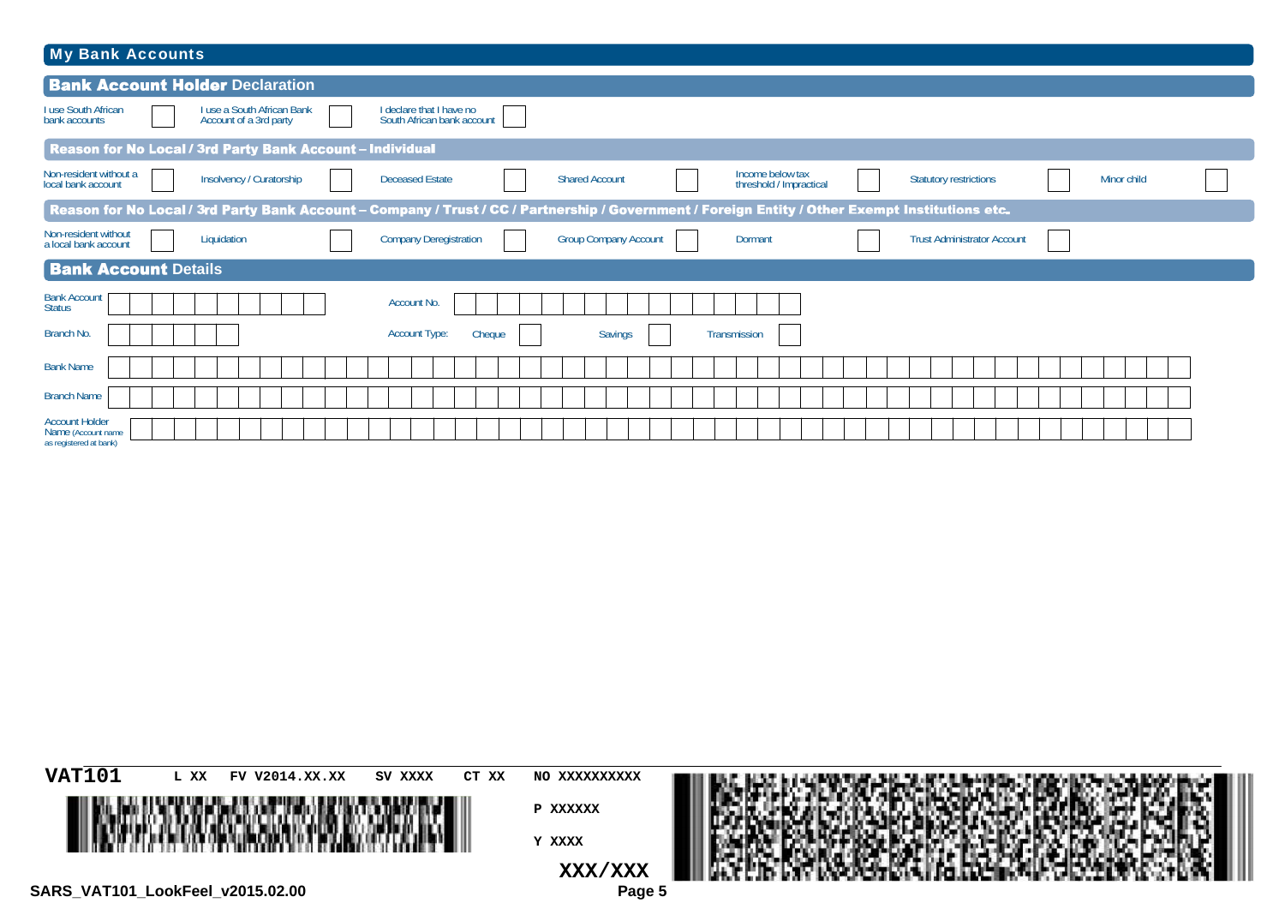| My Bank Accounts                                                                                                                                                                                                           |  |  |  |  |  |  |  |  |  |  |  |
|----------------------------------------------------------------------------------------------------------------------------------------------------------------------------------------------------------------------------|--|--|--|--|--|--|--|--|--|--|--|
| <b>Bank Account Holder Declaration</b>                                                                                                                                                                                     |  |  |  |  |  |  |  |  |  |  |  |
| I use South African<br>I declare that I have no<br>South African bank account<br>I use a South African Bank<br>Account of a 3rd party<br>bank accounts                                                                     |  |  |  |  |  |  |  |  |  |  |  |
| Reason for No Local / 3rd Party Bank Account - Individual                                                                                                                                                                  |  |  |  |  |  |  |  |  |  |  |  |
| Non-resident without a<br>Income below tax<br><b>Shared Account</b><br>Insolvency / Curatorship<br><b>Statutory restrictions</b><br><b>Deceased Estate</b><br>Minor child<br>local bank account<br>threshold / Impractical |  |  |  |  |  |  |  |  |  |  |  |
| Reason for No Local / 3rd Party Bank Account - Company / Trust / CC / Partnership / Government / Foreign Entity / Other Exempt Institutions etc.                                                                           |  |  |  |  |  |  |  |  |  |  |  |
| Non-resident without<br>Liquidation<br><b>Company Deregistration</b><br><b>Group Company Account</b><br>Dormant<br><b>Trust Administrator Account</b><br>a local bank account                                              |  |  |  |  |  |  |  |  |  |  |  |
| <b>Bank Account Details</b>                                                                                                                                                                                                |  |  |  |  |  |  |  |  |  |  |  |
| <b>Bank Account</b><br>Account No.<br><b>Status</b>                                                                                                                                                                        |  |  |  |  |  |  |  |  |  |  |  |
| Branch No.<br><b>Account Type:</b><br>Cheque<br><b>Savings</b><br><b>Transmission</b>                                                                                                                                      |  |  |  |  |  |  |  |  |  |  |  |
| <b>Bank Name</b>                                                                                                                                                                                                           |  |  |  |  |  |  |  |  |  |  |  |
| <b>Branch Name</b>                                                                                                                                                                                                         |  |  |  |  |  |  |  |  |  |  |  |
| <b>Account Holder</b><br>Name (Account name<br>as registered at bank)                                                                                                                                                      |  |  |  |  |  |  |  |  |  |  |  |

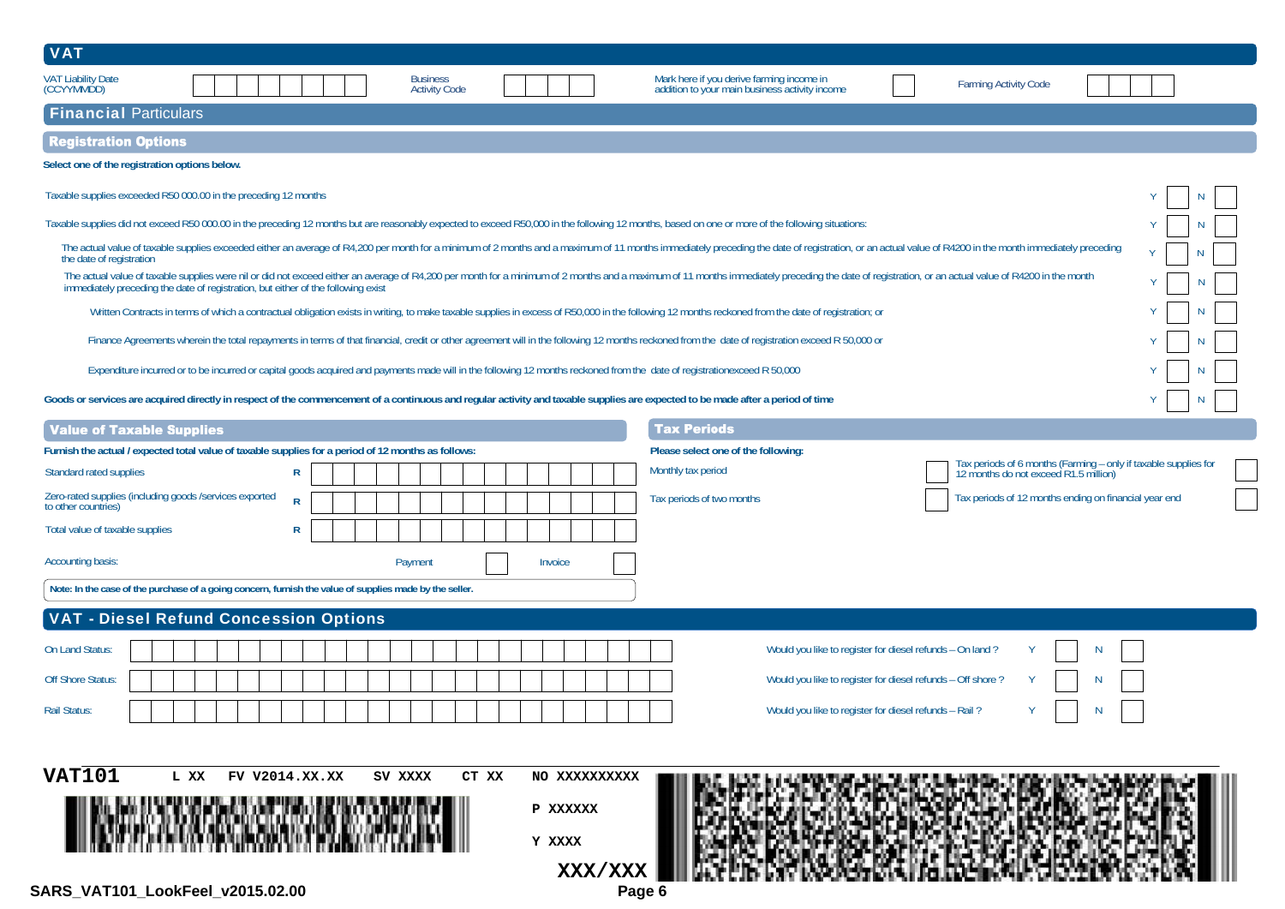| <b>VAT</b>                                                                                                                                                                                                                                                                                                         |                        |                                                                                             |                                                                                                       |  |  |  |  |
|--------------------------------------------------------------------------------------------------------------------------------------------------------------------------------------------------------------------------------------------------------------------------------------------------------------------|------------------------|---------------------------------------------------------------------------------------------|-------------------------------------------------------------------------------------------------------|--|--|--|--|
| <b>VAT Liability Date</b><br><b>Business</b><br>(CCYYMMDD)<br><b>Activity Code</b>                                                                                                                                                                                                                                 |                        | Mark here if you derive farming income in<br>addition to your main business activity income | <b>Farming Activity Code</b>                                                                          |  |  |  |  |
| <b>Financial Particulars</b>                                                                                                                                                                                                                                                                                       |                        |                                                                                             |                                                                                                       |  |  |  |  |
| <b>Registration Options</b>                                                                                                                                                                                                                                                                                        |                        |                                                                                             |                                                                                                       |  |  |  |  |
| Select one of the registration options below.                                                                                                                                                                                                                                                                      |                        |                                                                                             |                                                                                                       |  |  |  |  |
| Taxable supplies exceeded R50 000.00 in the preceding 12 months                                                                                                                                                                                                                                                    |                        |                                                                                             |                                                                                                       |  |  |  |  |
| Taxable supplies did not exceed R50 000.00 in the preceding 12 months but are reasonably expected to exceed R50,000 in the following 12 months, based on one or more of the following situations:                                                                                                                  |                        |                                                                                             |                                                                                                       |  |  |  |  |
| The actual value of taxable supplies exceeded either an average of R4,200 per month for a minimum of 2 months and a maximum of 11 months immediately preceding the date of registration, or an actual value of R4200 in the mo<br>the date of registration                                                         |                        |                                                                                             | N                                                                                                     |  |  |  |  |
| The actual value of taxable supplies were nil or did not exceed either an average of R4,200 per month for a minimum of 2 months and a maximum of 11 months immediately preceding the date of registration, or an actual value<br>immediately preceding the date of registration, but either of the following exist |                        |                                                                                             | N                                                                                                     |  |  |  |  |
| Written Contracts in terms of which a contractual obligation exists in writing, to make taxable supplies in excess of R50,000 in the following 12 months reckoned from the date of registration; or                                                                                                                |                        |                                                                                             |                                                                                                       |  |  |  |  |
| Finance Agreements wherein the total repayments in terms of that financial, credit or other agreement will in the following 12 months reckoned from the date of registration exceed R 50,000 or                                                                                                                    |                        |                                                                                             |                                                                                                       |  |  |  |  |
| Expenditure incurred or to be incurred or capital goods acquired and payments made will in the following 12 months reckoned from the date of registrationexceed R 50,000                                                                                                                                           |                        |                                                                                             |                                                                                                       |  |  |  |  |
| Goods or services are acquired directly in respect of the commencement of a continuous and regular activity and taxable supplies are expected to be made after a period of time                                                                                                                                    |                        |                                                                                             |                                                                                                       |  |  |  |  |
| <b>Value of Taxable Supplies</b>                                                                                                                                                                                                                                                                                   |                        | <b>Tax Periods</b>                                                                          |                                                                                                       |  |  |  |  |
| Furnish the actual / expected total value of taxable supplies for a period of 12 months as follows:                                                                                                                                                                                                                |                        | Please select one of the following:                                                         |                                                                                                       |  |  |  |  |
| $\mathsf{R}$<br>Standard rated supplies                                                                                                                                                                                                                                                                            |                        | Monthly tax period                                                                          | Tax periods of 6 months (Farming - only if taxable supplies for 12 months do not exceed R1.5 million) |  |  |  |  |
| Zero-rated supplies (including goods /services exported<br>to other countries)<br>$\mathsf{R}$                                                                                                                                                                                                                     |                        | Tax periods of two months                                                                   | Tax periods of 12 months ending on financial year end                                                 |  |  |  |  |
| $\mathsf{R}$<br>Total value of taxable supplies                                                                                                                                                                                                                                                                    |                        |                                                                                             |                                                                                                       |  |  |  |  |
| Accounting basis:<br>Payment                                                                                                                                                                                                                                                                                       | Invoice                |                                                                                             |                                                                                                       |  |  |  |  |
| Note: In the case of the purchase of a going concern, furnish the value of supplies made by the seller.                                                                                                                                                                                                            |                        |                                                                                             |                                                                                                       |  |  |  |  |
| <b>VAT - Diesel Refund Concession Options</b>                                                                                                                                                                                                                                                                      |                        |                                                                                             |                                                                                                       |  |  |  |  |
| On Land Status:                                                                                                                                                                                                                                                                                                    |                        | Would you like to register for diesel refunds - On land?                                    |                                                                                                       |  |  |  |  |
| <b>Off Shore Status:</b>                                                                                                                                                                                                                                                                                           |                        |                                                                                             | Would you like to register for diesel refunds - Off shore?                                            |  |  |  |  |
| <b>Rail Status:</b>                                                                                                                                                                                                                                                                                                |                        | Would you like to register for diesel refunds - Rail?                                       |                                                                                                       |  |  |  |  |
|                                                                                                                                                                                                                                                                                                                    |                        |                                                                                             |                                                                                                       |  |  |  |  |
| <b>VAT101</b><br>L XX<br>FV V2014.XX.XX<br>SV XXXX                                                                                                                                                                                                                                                                 |                        |                                                                                             |                                                                                                       |  |  |  |  |
|                                                                                                                                                                                                                                                                                                                    | CT XX<br>NO XXXXXXXXXX |                                                                                             |                                                                                                       |  |  |  |  |
|                                                                                                                                                                                                                                                                                                                    | P XXXXXX               |                                                                                             |                                                                                                       |  |  |  |  |
|                                                                                                                                                                                                                                                                                                                    | Y XXXX                 |                                                                                             |                                                                                                       |  |  |  |  |
|                                                                                                                                                                                                                                                                                                                    | XXX/XXX                |                                                                                             |                                                                                                       |  |  |  |  |
| SARS_VAT101_LookFeel_v2015.02.00                                                                                                                                                                                                                                                                                   | Page 6                 |                                                                                             |                                                                                                       |  |  |  |  |